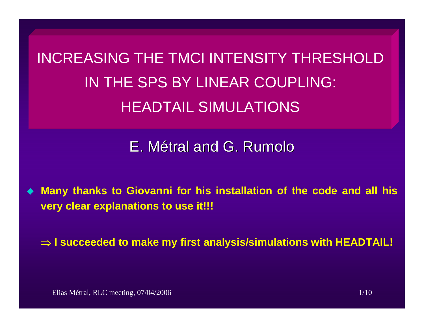INCREASING THE TMCI INTENSITY THRESHOLDIN THE SPS BY LINEAR COUPLING: HEADTAIL SIMULATIONS

E. M étral and G. Rumolo

 $\blacklozenge$  **Many thanks to Giovanni for his installation of the code and all his very clear explanations to use it!!!**

⇒ **I succeeded to make my first analysis/simulations with HEADTAIL!**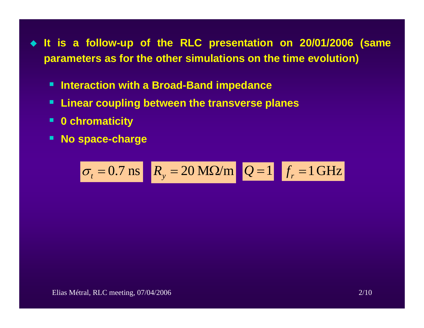- **It is a follow-up of the RLC presentation on 20/01/2006 (same parameters as for the other simulations on the time evolution)**
	- **Interaction with a Broad-Band impedance**
	- **Linear coupling between the transverse planes**
	- **0 chromaticity**
	- $\blacksquare$ **No space-charge**

$$
\sigma_t = 0.7 \text{ ns} \quad R_y = 20 \text{ M}\Omega/\text{m} \quad Q = 1 \quad f_r = 1 \text{ GHz}
$$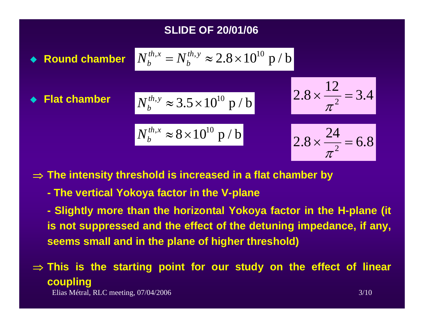## **SLIDE OF 20/01/06**



⇒ **The intensity threshold is increased in a flat chamber by**

**- The vertical Yokoya factor in the V-plane**

**- Slightly more than the horizontal Yokoya factor in the H-plane (it is not suppressed and the effect of the detuning impedance, if any, seems small and in the plane of higher threshold)**

⇒ **This is the starting point for our study on the effect of linear coupling**

Elias Métral, RLC meeting, 07/04/2006 3/10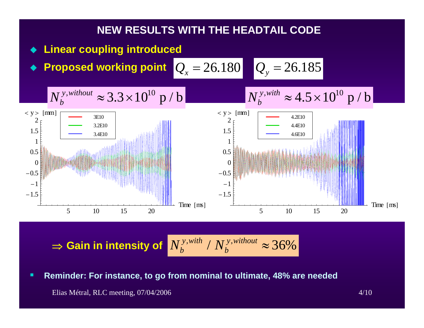

 $\Rightarrow$  Gain in intensity of  $\left|N_{h}^{y,win}\right|/N_{h}^{y,winout} \approx 36\%$ *y without b*  $N_b^{y, with}$  /  $N_a^y$ 

п **Reminder: For instance, to go from nominal to ultimate, 48% are needed**

Elias Métral, RLC meeting, 07/04/2006 4/10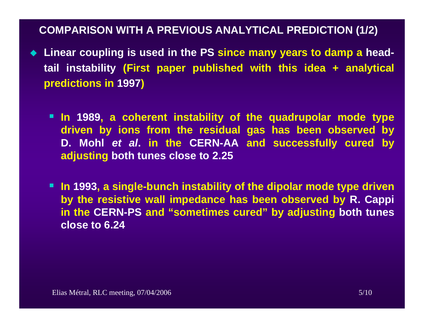### **COMPARISON WITH A PREVIOUS ANALYTICAL PREDICTION (1/2)**

- **Linear coupling is used in the PS since many years to damp a headtail instability (First paper published with this idea + analytical predictions in 1997 )**
	- **In 1989, a coherent instability of the quadrupolar mode type driven by ions from the residual gas has been observed by D. Mohl** *et al***. in the CERN-AA and successfully cured by adjusting both tunes close to 2.25**
	- **In 1993, a single-bunch instability of the dipolar mode type driven by the resistive wall impedance has been observed by R. Cappi in the CERN-PS and "sometimes cured" by adjusting both tunes close to 6.24**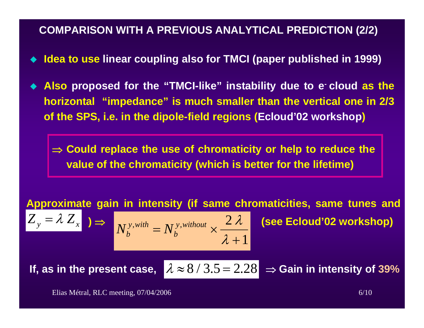#### **COMPARISON WITH A PREVIOUS ANALYTICAL PREDICTION (2/2)**

- $\blacklozenge$ **Idea to use linear coupling also for TMCI (paper published in 1999)**
- ♦ **Also proposed for the "TMCI-like" instability due to e- cloud as the horizontal "impedance" is much smaller than the vertical one in 2/3 of the SPS, i.e. in the dipole-field regions (Ecloud'02 workshop )**

⇒ **Could replace the use of chromaticity or help to reduce the value of the chromaticity (which is better for the lifetime)**

**Approximate gain in intensity (if same chromaticities, same tunes and** 

$$
N_b^{y, with} = N_b^{y, without} \times \frac{2 \lambda}{\lambda + 1}
$$

**(see Ecloud'02 workshop)** 

**If, as in the present case,** λ

 $= \lambda Z_x |_{\mathcal{E}} \Rightarrow$ 

*Z y*

$$
\approx 8 / 3.5 = 2.28 \Rightarrow
$$
 Gain in intensity of 39%

Elias Métral, RLC meeting, 07/04/2006 6/10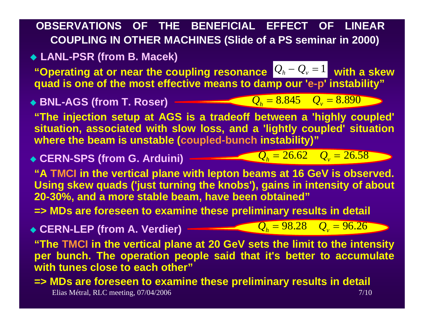# **OBSERVATIONS OF THE BENEFICIAL EFFECT OF LINEAR COUPLING IN OTHER MACHINES (Slide of a PS seminar in 2000)**

# **LANL-PSR (from B. Macek)**

"Operating at or near the coupling resonance  $\left[{\mathcal{Q}_h} - {\mathcal{Q}_v} = 1\right]$  with a skew  $\epsilon$ **quad is one of the most effective means to damp our 'e-p' instability"** − *Q v*  $=1$ 

 **BNL-AGS (from T. Roser)**  $Q_h = 8.845$   $Q_v = 8.890$ 

**"The injection setup at AGS is a tradeoff between a 'highly coupled' situation, associated with slow loss, and a 'lightly coupled' situation where the beam is unstable (coupled-bunch instability)"**

**CERN-SPS (from G. Arduini)**

 $Q_{h} = 26.62$  *Q*<sub>*v*</sub> = 26.58

**"A TMCI in the vertical plane with lepton beams at 16 GeV is observed. Using skew quads ('just turning the knobs'), gains in intensity of about 20-30%, and a more stable beam, have been obtained"**

**=> MDs are foreseen to examine these preliminary results in detail**

 **CERN-LEP (from A. Verdier)**  $Q_{h} = 98.28$   $Q_{v} = 96.26$ 

**"The TMCI in the vertical plane at 20 GeV sets the limit to the intensity per bunch. The operation people said that it's better to accumulate with tunes close to each other"**

Elias Métral, RLC meeting, 07/04/2006 7/10 **=> MDs are foreseen to examine these preliminary results in detail**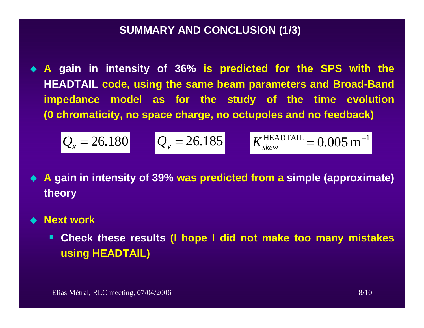#### **SUMMARY AND CONCLUSION (1/3)**

 $\blacklozenge$ **A gain in intensity of 36% is predicted for the SPS with the HEADTAIL code, using the same beam parameters and Broad-Band impedance model as for the study of the time evolution (0 chromaticity, no space charge, no octupoles and no feedback)**

$$
Q_x = 26.180
$$
  $Q_y = 26.185$   $K_{\text{skew}}^{\text{HEADTAIL}} = 0.005 \text{ m}^{-1}$ 

- **A gain in intensity of 39% was predicted from a simple (approximate) theory**
- **Next work**
	- $\blacksquare$  **Check these results (I hope I did not make too many mistakes using HEADTAIL)**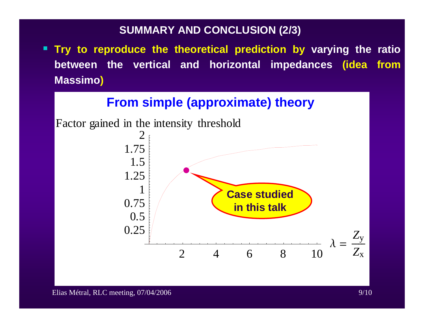### **SUMMARY AND CONCLUSION (2/3)**

 **Try to reproduce the theoretical prediction by varying the ratio between the vertical and horizontal impedances (idea from Massimo )**

# **From simple (approximate) theory**

Factor gained in the intensity threshold